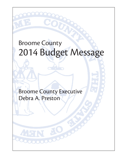# Broome County 2014 Budget Message

Broome County Executive Debra A. Preston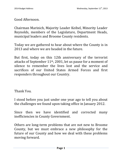Good Afternoon.

Chairman Marinich, Majority Leader Keibel, Minority Leader Reynolds, members of the Legislature, Department Heads, municipal leaders and Broome County residents.

Today we are gathered to hear about where the County is in 2013 and where we are headed in the future.

But first, today on this 12th anniversary of the terrorist attacks of September  $11<sup>th</sup>$ , 2001, let us pause for a moment of silence to remember the lives lost and the service and sacrifices of our United States Armed Forces and first responders throughout our Country.

Thank You.

I stood before you just under one year ago to tell you about the challenges we found upon taking office in January 2012.

Since then we have identified and corrected many inefficiencies in County Government.

Others are long-term problems that are not new to Broome County, but we must embrace a new philosophy for the future of our County and how we deal with these problems moving forward.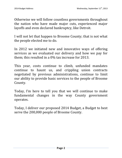Otherwise we will follow countless governments throughout the nation who have made major cuts, experienced major layoffs and even declared bankruptcy, like Detroit.

I will not let that happen to Broome County; that is not what the people elected me to do.

In 2012 we initiated new and innovative ways of offering services as we evaluated our delivery and how we pay for them; this resulted in a 0% tax increase for 2013.

This year, costs continue to climb, unfunded mandates continue to haunt us, and crippling union contracts negotiated by previous administrations, continue to limit our ability to provide basic services to the people of Broome County.

Today, I'm here to tell you that we will continue to make fundamental changes in the way County government operates.

Today, I deliver our proposed 2014 Budget, a Budget to best serve the 200,000 people of Broome County.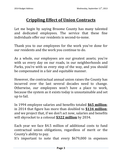# **Crippling Effect of Union Contracts**

Let me begin by saying Broome County has many talented and dedicated employees. The service that these fine individuals offer our residents is second-to-none.

Thank you to our employees for the work you've done for our residents and the work you continue to do.

As a whole, our employees are our greatest assets; you're with us every day on our roads, in our neighborhoods and Parks, you're with us every step of the way, and you should be compensated in a fair and equitable manner.

However, the contractual annual union raises the County has incurred over the last several decades need to change. Otherwise, our employees won't have a place to work, because the system as it exists today is unsustainable and set up to fail.

In 1994 employee salaries and benefits totaled **\$65 million**; in 2014 that figure has more than doubled to **\$134 million**; and we project that, if we don't act now, salaries and benefits will skyrocket to a colossal **\$322 million** by 2034.

Each year we face \$4.5 million of additional costs to fund contractual union obligations, regardless of merit or the County's ability to pay.

It's important to note that every \$679,000 in expenses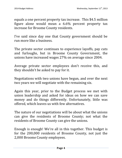equals a one percent property tax increase. This \$4.5 million figure alone would mean a 6.6% percent property tax increase for Broome County residents.

I've said since day one that County government should be run more like a business.

The private sector continues to experience layoffs, pay cuts and furloughs, but in Broome County Government, the unions have increased wages 27% on average since 2004.

Average private sector employees don't receive this, and they shouldn't be asked to pay for it.

Negotiations with two unions have begun, and over the next two years we will negotiate with the remaining six.

Again this year, prior to the Budget process we met with union leadership and asked for ideas on how we can save money and do things differently. Unfortunately, little was offered, which leaves us with few alternatives.

The nature of our negotiations will be about what the unions can give the residents of Broome County; not what the residents of Broome County can give the unions.

Enough is enough! We're all in this together. This budget is for the 200,000 residents of Broome County, not just the 2,000 Broome County employees.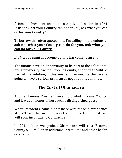A famous President once told a captivated nation in 1961 "ask not what your Country can do for you; ask what you can do for your Country."

To borrow this often quoted line, I'm calling on the unions to **ask not what your County can do for you, ask what you can do for your County.**

*Business as usual* in Broome County has come to an end.

The unions have an opportunity to be part of the solution to bring prosperity back to Broome County, and they **should** be part of the solution; if this seems unreasonable then we're going to have a serious problem as negotiations continue.

#### **The Cost of Obamacare**

Another famous President recently visited Broome County, and it was an honor to host such a distinguished guest.

What President Obama didn't share with those in attendance at his Town Hall meeting was the unprecedented costs we will soon incur due to Obamacare.

In 2014 alone we project Obamacare will cost Broome County \$1.6 million in additional premiums and other health care costs.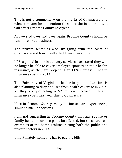This is not a commentary on the merits of Obamacare and what it means for our nation; these are the facts on how it will affect Broome County next year.

As I've said over and over again, Broome County should be run more like a business.

The private sector is also struggling with the costs of Obamacare and how it will affect their operations.

UPS, a global leader in delivery services, has stated they will no longer be able to cover employee spouses on their health insurance, as they are projecting an 11% increase in health insurance costs in 2014.

The University of Virginia, a leader in public education, is also planning to drop spouses from health coverage in 2014, as they are projecting a \$7 million increase in health insurance costs next year due to Obamacare.

Here in Broome County, many businesses are experiencing similar difficult decisions.

I am not suggesting in Broome County that any spouse or family health insurance plans be affected, but these are real examples of the harsh realities hitting both the public and private sectors in 2014.

Unfortunately, someone has to pay the bills.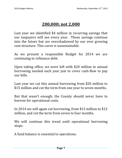# **200,000; not 2,000**

Last year we identified \$4 million in recurring savings that our taxpayers will see every year. Those savings continue into the future but are overshadowed by our ever growing cost structure. This curve is unsustainable.

As we present a responsible Budget for 2014 we are continuing to refinance debt.

Upon taking office, we were left with \$20 million in annual borrowing needed each year just to cover cash-flow to pay our bills.

Last year we cut this annual borrowing from \$20 million to \$15 million and cut the term from one year to seven months.

But that wasn't enough; the County should never have to borrow for operational costs.

In 2014 we will again cut borrowing, from \$15 million to \$12 million, and cut the term from seven to four months.

We will continue this trend until operational borrowing stops.

A fund balance is essential to operations.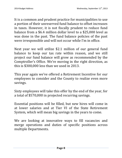It is a common and prudent practice for municipalities to use a portion of their unreserved fund balance to offset increases in taxes. However, it is not fiscally prudent to reduce fund balance from a \$6.4 million dollar level to a \$25,000 level as was done in the past. The fund balance policies of the past were irresponsible and will not occur while I'm in office.

Next year we will utilize \$2.1 million of our general fund balance to keep our tax rate within reason, and we still project our fund balance will grow as recommended by the Comptroller's Office. We're moving in the right direction, as this is \$300,000 less than we used in 2013.

This year again we've offered a Retirement Incentive for our employees to consider and the County to realize even more savings.

Sixty employees will take this offer by the end of the year, for a total of \$570,000 in projected recurring savings.

Essential positions will be filled, but new hires will come in at lower salaries and at Tier VI of the State Retirement System, which will mean big savings in the years to come.

We are looking at innovative ways to fill vacancies and merge operations and duties of specific positions across multiple Departments.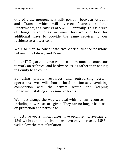One of these mergers is a split position between Aviation and Transit, which will oversee finances in both Departments, at a savings of \$52,000 annually. This is a sign of things to come as we move forward and look for additional ways to provide the same services to our residents at a lower cost.

We also plan to consolidate two clerical finance positions between the Library and Transit.

In our IT Department, we will hire a new outside contractor to work on technical and hardware issues rather than adding to County head count.

By using private resources and outsourcing certain operations we will boost local businesses, avoiding competition with the private sector, and keeping Department staffing at reasonable levels.

We must change the way we deal with human resources including how raises are given. They can no longer be based on protection and patronage.

In just five years, union raises have escalated an average of 13% while administrative raises have only increased 2.5% well below the rate of inflation.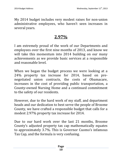My 2014 budget includes very modest raises for non-union administrative employees, who haven't seen increases in several years.

## **2.97%**

I am extremely proud of the work of our Departments and employees over the first nine months of 2013, and know we will take this momentum into 2014 building on our many achievements as we provide basic services at a responsible and reasonable level.

When we began the budget process we were looking at a 24% property tax increase for 2014, based on prenegotiated union contracts, the costs of Obamacare, increases in the cost of providing public transportation, a County-owned Nursing Home and a continued commitment to the safety of our residents.

However, due to the hard work of my staff, and department heads and our dedication to best serve the people of Broome County, we have crafted a responsible budget that calls for a modest 2.97% property tax increase for 2014.

Due to our hard work over the last 21 months, Broome County's adjusted property tax cap mathematically equates to approximately 3.7%. This is Governor Cuomo's infamous Tax Cap, and the formula is very confusing.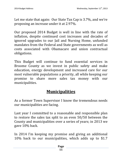Let me state that again: Our State Tax Cap is 3.7%, and we're proposing an increase under it at 2.97%.

Our proposed 2014 Budget is well in line with the rate of inflation, despite continued cost increases and decades of ignored upgrades to our Jail and Nursing Home, unfunded mandates from the Federal and State governments as well as costs associated with Obamacare and union contractual obligations.

This Budget will continue to fund essential services in Broome County as we invest in public safety and make education, energy development and increased care for our most vulnerable populations a priority, all while keeping our promise to share more sales tax money with our municipalities.

#### **Municipalities**

As a former Town Supervisor I know the tremendous needs our municipalities are facing.

Last year I committed to a reasonable and responsible plan to restore the sales tax split to an even 50/50 between the County and municipalities over a series of years; in 2013 we gave 10% back.

In 2014 I'm keeping my promise and giving an additional 10% back to our municipalities, which adds up to \$1.7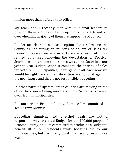million more than before I took office.

My team and I recently met with municipal leaders to provide them with sales tax projections for 2014 and an overwhelming majority of them are supportive of our plan.

But let me clear up a misconception about sales tax: the County is not sitting on millions of dollars of sales tax money! Increases we saw in 2012 were a result of floodrelated purchases following the devastation of Tropical Storm Lee and are one-time spikes we cannot factor into our year-to-year Budget. When it comes to the sharing of sales tax with our municipalities, if we gave it all back now we would be right back at their doorsteps asking for it again in the near future and that is not responsible budgeting.

In other parts of Upstate, other counties are moving in the other direction – taking more and more Sales Tax revenue *away* from municipalities.

But not here in Broome County. Because I'm committed to keeping my promise.

Budgeting gimmicks and one-shot deals are not a responsible way to craft a Budget for the 200,000 people of Broome County, and I'm committed to producing a Budget to benefit all of our residents while boosting aid to our municipalities, but I will only do it in a fiscally responsible way.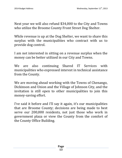Next year we will also refund \$34,000 to the City and Towns who utilize the Broome County Front Street Dog Shelter.

While revenue is up at the Dog Shelter, we want to share this surplus with the municipalities who contract with us to provide dog control.

I am not interested in sitting on a revenue surplus when the money can be better utilized in our City and Towns.

We are also continuing Shared IT Services with municipalities who expressed interest in technical assistance from the County.

We are moving ahead working with the Towns of Chenango, Dickinson and Union and the Village of Johnson City, and the invitation is still open to other municipalities to join this money-saving effort.

I've said it before and I'll say it again, it's our municipalities that are Broome County; decisions are being made to best serve our 200,000 residents, not just those who work in government plaza or view the County from the comfort of the County Office Building.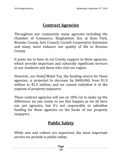## **Contract Agencies**

Throughout our community many agencies including the Chamber of Commerce, Binghamton Zoo at Ross Park, Broome County Arts Council, Cornell Cooperative Extension and many more enhance our quality of life in Broome County.

It pains me to have to cut County support to these agencies, which provide important and culturally significant services to our residents and those who visit our region.

However, our Hotel/Motel Tax, the funding source for these agencies, is projected to decrease by \$400,000, from \$1.9 million to \$1.5 million, and we cannot subsidize it at the expense of property taxpayers.

These contract agencies will see an 18% cut to make up the difference; no one wants to see this happen as we all have our pet agencies, but it's not responsible to subsidize funding for these agencies on the backs of our property taxpayers.

#### **Public Safety**

While arts and culture are important, the most important service we provide is public safety.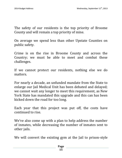The safety of our residents is the top priority of Broome County and will remain a top priority of mine.

On average we spend less than other Upstate Counties on public safety.

Crime is on the rise in Broome County and across the Country; we must be able to meet and combat these challenges.

If we cannot protect our residents, nothing else we do matters.

For nearly a decade, an unfunded mandate from the State to enlarge our Jail Medical Unit has been debated and delayed; we cannot wait any longer to meet this requirement, as New York State has mandated this upgrade and this can has been kicked down the road for too long.

Each year that this project was put off, the costs have continued to rise.

We've also come up with a plan to help address the number of inmates, while decreasing the number of inmates sent to other jails.

We will convert the existing gym at the Jail to prison-style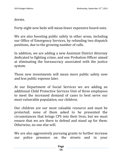dorms.

Forty-eight new beds will mean fewer expensive board-outs.

We are also boosting public safety in other areas, including our Office of Emergency Services, by refunding two dispatch positions, due to the growing number of calls.

In addition, we are adding a new Assistant District Attorney dedicated to fighting crime, and one Probation Officer aimed at eliminating the bureaucracy associated with the justice system.

These new investments will mean more public safety now and less public expense later.

At our Department of Social Services we are adding an additional Child Protective Services Unit of three employees to meet the increased demand of cases to best serve our most vulnerable population, our children.

Our children are our most valuable resource and must be protected; none of them asked to be presented the circumstances that brings CPS into their lives, but we must ensure that we are there to defend and stand up for them. Otherwise, no one else will.

We are also aggressively pursuing grants to further increase our police presence on the streets and in your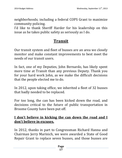neighborhoods; including a federal COPS Grant to maximize community policing.

I'd like to thank Sheriff Harder for his leadership on this issue as he takes public safety as seriously as I do.

## **Transit**

Our transit system and fleet of busses are an area we closely monitor and make constant improvements to best meet the needs of our transit users.

In fact, one of my Deputies, John Bernardo, has likely spent more time at Transit than any previous Deputy. Thank you for your hard work John, as we make the difficult decisions that the people elected me to do.

In 2012, upon taking office, we inherited a fleet of 32 busses that badly needed to be replaced.

For too long, the can has been kicked down the road, and decisions critical to the future of public transportation in Broome County have been put off.

#### **I don't believe in kicking the can down the road and I don't believe in excuses.**

In 2012, thanks in part to Congressman Richard Hanna and Chairman Jerry Marinich, we were awarded a State of Good Repair Grant to replace seven busses, and those busses are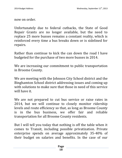now on order.

Unfortunately due to federal cutbacks, the State of Good Repair Grants are no longer available, but the need to replace 25 more busses remains a constant reality, which is reinforced every time a bus breaks down or is sidelined for repairs.

Rather than continue to kick the can down the road I have budgeted for the purchase of two more busses in 2014.

We are increasing our commitment to public transportation in Broome County.

We are meeting with the Johnson City School district and the Binghamton School district addressing issues and coming up with solutions to make sure that those in need of this service will have it.

We are not prepared to cut bus service or raise rates in 2014, but we will continue to closely monitor ridership levels and route efficiency so that, as long as Broome County is in the bus business, we offer fair and reliable transportation for all Broome County residents.

But I will tell you today that nothing is off the table when it comes to Transit, including possible privatization. Private enterprise spends on average approximately 35-40% of their budget on salaries and benefits. In the case of our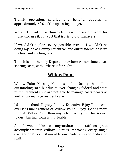Transit operation, salaries and benefits equates to approximately 60% of the operating budget.

We are left with few choices to make the system work for those who use it, at a cost that is fair to our taxpayers.

If we didn't explore every possible avenue, I wouldn't be doing my job as County Executive, and our residents deserve the best and nothing less.

Transit is not the only Department where we continue to see soaring costs, with little relief in sight.

## **Willow Point**

Willow Point Nursing Home is a fine facility that offers outstanding care, but due to ever-changing federal and State reimbursements, we are not able to manage costs nearly as well as we manage resident care.

I'd like to thank Deputy County Executive Bijoy Datta who oversees management of Willow Point. Bijoy spends more time at Willow Point than any other facility, but his service to our Nursing Home is invaluable.

And I would like to congratulate our staff on great accomplishments; Willow Point is improving every single day, and that is a testament to our leadership and dedicated staff.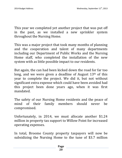This year we completed yet another project that was put off in the past, as we installed a new sprinkler system throughout the Nursing Home.

This was a major project that took many months of planning and the cooperation and talent of many departments including our Department of Public Works and the Nursing Home staff, who completed the installation of the new system with as little possible impact to our residents.

But again, the can had been kicked down the road for far too long, and we were given a deadline of August  $13<sup>th</sup>$  of this year to complete the project. We did it, but not without significant extra expense which could have been avoided had this project been done years ago, when it was first mandated.

The safety of our Nursing Home residents and the peace of mind of their family members should never be compromised.

Unfortunately, in 2014, we must allocate another \$1.24 million in property tax support to Willow Point for increased operating expenses.

In total, Broome County property taxpayers will now be subsidizing the Nursing Home to the tune of \$3.7 million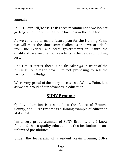annually.

In 2012 our Sell/Lease Task Force recommended we look at getting out of the Nursing Home business in the long term.

As we continue to map a future plan for the Nursing Home we will meet the short-term challenges that we are dealt from the Federal and State governments to insure the quality of care we offer our residents is the best and nothing less.

And I must stress, there is no *for sale sign* in front of the Nursing Home right now. I'm not proposing to sell the facility in this Budget.

We're very proud of the many successes at Willow Point, just as we are proud of our advances in education.

#### **SUNY Broome**

Quality education is essential to the future of Broome County, and SUNY Broome is a shining example of education at its best.

I'm a very proud alumnus of SUNY Broome, and I know firsthand that a quality education at this institution means unlimited possibilities.

Under the leadership of President Kevin Drumm, SUNY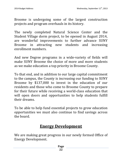Broome is undergoing some of the largest construction projects and program overhauls in its history.

The newly completed Natural Science Center and the Student Village dorm project, to be opened in August 2014, are wonderful improvements to further advance SUNY Broome in attracting new students and increasing enrollment numbers.

And new Degree programs in a wide-variety of fields will make SUNY Broome the choice of more and more students as we make education a top priority in Broome County.

To that end, and in addition to our large capital commitment to the campus, the County is increasing our funding to SUNY Broome by \$137,000 to invest in the education of our residents and those who come to Broome County to prepare for their future while receiving a world-class education that will open doors and opportunities to help students fulfill their dreams.

To be able to help fund essential projects to grow education opportunities we must also continue to find savings across the board.

#### **Energy Development**

We are making great progress in our newly formed Office of Energy Development.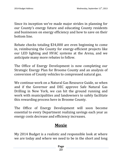Since its inception we've made major strides in planning for our County's energy future and educating County residents and businesses on energy efficiency and how to save on their bottom line.

Rebate checks totaling \$34,000 are even beginning to come in, reimbursing the County for energy-efficient projects like our LED lighting and HVAC systems at the Arena, and we anticipate many more rebates to follow.

The Office of Energy Development is now completing our Strategic Energy Plan for Broome County and an analysis of conversion of County vehicles to compressed natural gas.

We continue work on a Natural Gas Resource Guide, so when and if the Governor and DEC approve Safe Natural Gas Drilling in New York, we can hit the ground running and work with municipalities and landowners to safely facilitate this rewarding process here in Broome County.

The Office of Energy Development will soon become essential to every Department realizing savings each year as energy costs decrease and efficiency increases.

## **Moxie**

My 2014 Budget is a realistic and responsible look at where we are today and where we need to be in the short and long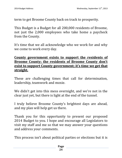term to get Broome County back on track to prosperity.

This Budget is a Budget for all 200,000 residents of Broome, not just the 2,000 employees who take home a paycheck from the County.

It's time that we all acknowledge who we work for and why we come to work every day.

#### **County government exists to support the residents of Broome County; the residents of Broome County don't exist to support County government; it's time we get that straight.**

These are challenging times that call for determination, leadership, teamwork and moxie.

We didn't get into this mess overnight, and we're not in the clear just yet, but there is light at the end of the tunnel.

I truly believe Broome County's brightest days are ahead, and my plan will help get us there.

Thank you for this opportunity to present our proposed 2014 Budget to you. I hope and encourage all Legislators to visit my staff and me so that we may answer your questions and address your comments.

This process isn't about political parties or elections but it is